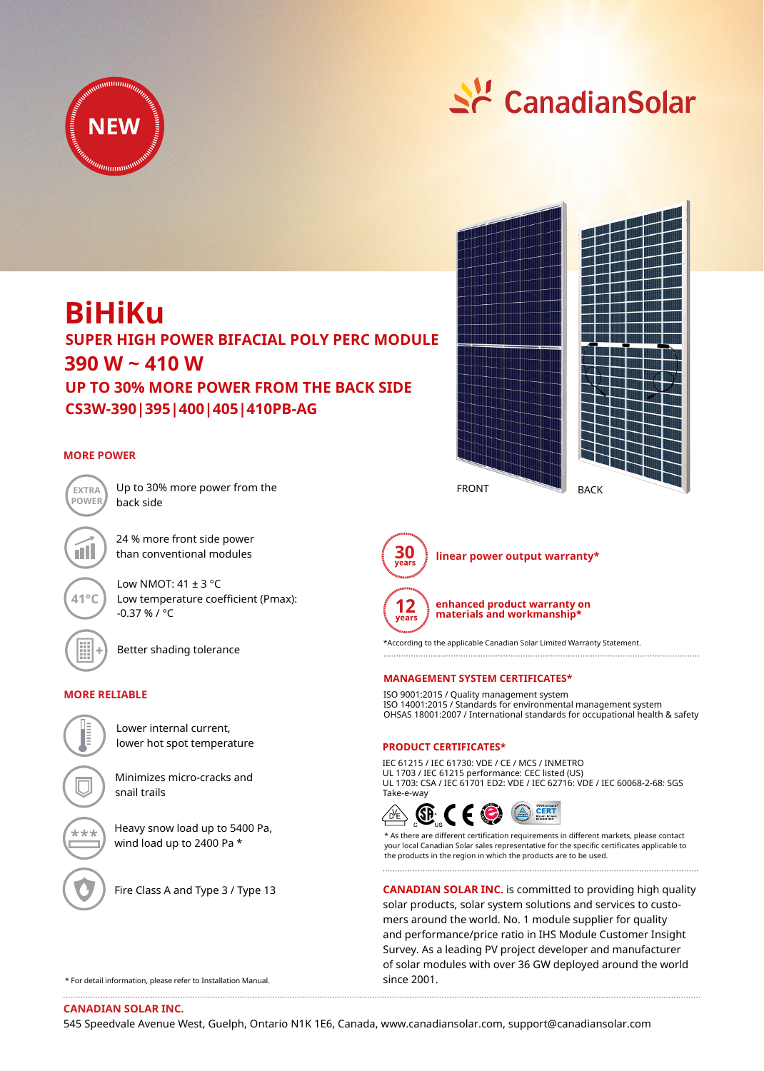



# **BiHiKu**

**390 W ~ 410 W CS3W-390|395|400|405|410PB-AG SUPER HIGH POWER BIFACIAL POLY PERC MODULE UP TO 30% MORE POWER FROM THE BACK SIDE**

# **MORE POWER**



Up to 30% more power from the back side

24 % more front side power than conventional modules

Low NMOT:  $41 \pm 3$  °C Low temperature coefficient (Pmax): -0.37 % / °C



**41°C**

Better shading tolerance

# **MORE RELIABLE**



lower hot spot temperature

Minimizes micro-cracks and snail trails

Heavy snow load up to 5400 Pa, wind load up to 2400 Pa \*



ی برد بر

Fire Class A and Type 3 / Type 13





**30 linear power output warranty\***



**enhanced product warranty on materials and workmanship\***

\*According to the applicable Canadian Solar Limited Warranty Statement.

## **MANAGEMENT SYSTEM CERTIFICATES\***

ISO 9001:2015 / Quality management system ISO 14001:2015 / Standards for environmental management system OHSAS 18001:2007 / International standards for occupational health & safety

# **PRODUCT CERTIFICATES\***

IEC 61215 / IEC 61730: VDE / CE / MCS / INMETRO UL 1703 / IEC 61215 performance: CEC listed (US) UL 1703: CSA / IEC 61701 ED2: VDE / IEC 62716: VDE / IEC 60068-2-68: SGS Take-e-way



\* As there are different certification requirements in different markets, please contact your local Canadian Solar sales representative for the specific certificates applicable to the products in the region in which the products are to be used.

**CANADIAN SOLAR INC.** is committed to providing high quality solar products, solar system solutions and services to customers around the world. No. 1 module supplier for quality and performance/price ratio in IHS Module Customer Insight Survey. As a leading PV project developer and manufacturer of solar modules with over 36 GW deployed around the world since 2001.

\* For detail information, please refer to Installation Manual.

**CANADIAN SOLAR INC.**

545 Speedvale Avenue West, Guelph, Ontario N1K 1E6, Canada, www.canadiansolar.com, support@canadiansolar.com